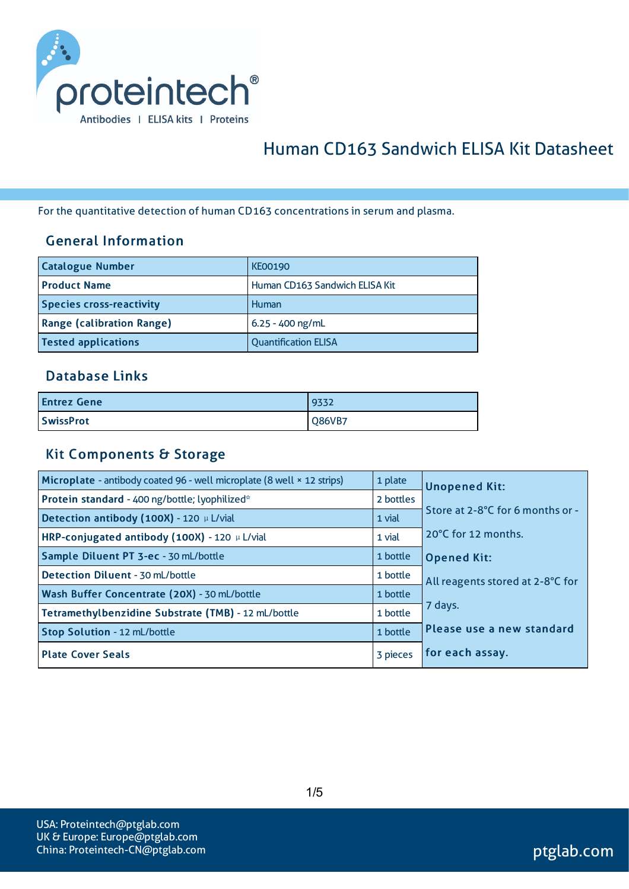

# Human CD163 Sandwich ELISA Kit Datasheet

For the quantitative detection of human CD163 concentrationsin serum and plasma.

### General Information

| <b>Catalogue Number</b>          | <b>KE00190</b>                 |
|----------------------------------|--------------------------------|
| <b>Product Name</b>              | Human CD163 Sandwich ELISA Kit |
| <b>Species cross-reactivity</b>  | Human                          |
| <b>Range (calibration Range)</b> | $6.25 - 400$ ng/mL             |
| <b>Tested applications</b>       | <b>Quantification ELISA</b>    |

#### Database Links

| <b>Entrez Gene</b> | 9332   |
|--------------------|--------|
| <b>SwissProt</b>   | Q86VB7 |

#### Kit Components & Storage

| Microplate - antibody coated 96 - well microplate (8 well × 12 strips) | 1 plate   | <b>Unopened Kit:</b>             |
|------------------------------------------------------------------------|-----------|----------------------------------|
| Protein standard - 400 ng/bottle; lyophilized*                         | 2 bottles |                                  |
| Detection antibody (100X) - 120 µ L/vial                               | 1 vial    | Store at 2-8°C for 6 months or - |
| HRP-conjugated antibody (100X) - 120 µ L/vial                          | 1 vial    | 20°C for 12 months.              |
| Sample Diluent PT 3-ec - 30 mL/bottle                                  | 1 bottle  | <b>Opened Kit:</b>               |
| Detection Diluent - 30 mL/bottle                                       | 1 bottle  | All reagents stored at 2-8°C for |
| Wash Buffer Concentrate (20X) - 30 mL/bottle                           | 1 bottle  |                                  |
| Tetramethylbenzidine Substrate (TMB) - 12 mL/bottle                    | 1 bottle  | 7 days.                          |
| Stop Solution - 12 mL/bottle                                           | 1 bottle  | Please use a new standard        |
| <b>Plate Cover Seals</b>                                               | 3 pieces  | for each assay.                  |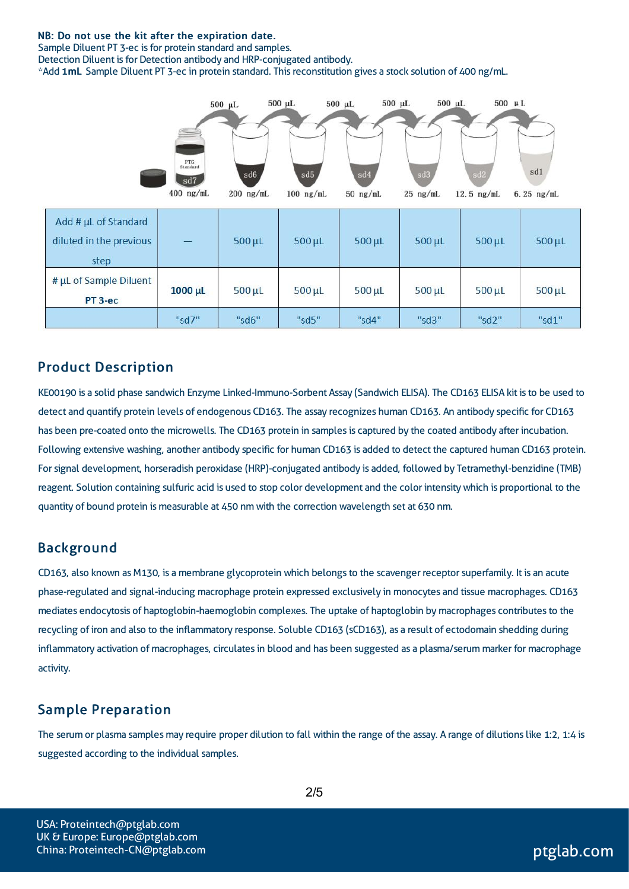#### NB: Do not use the kit after the expiration date.

Sample Diluent PT 3-ec is for protein standard and samples.

Detection Diluent is for Detection antibody and HRP-conjugated antibody.

\*Add 1mL Sample Diluent PT 3-ec in protein standard. Thisreconstitution gives a stock solution of 400 ng/mL.



### Product Description

KE00190 is a solid phase sandwich Enzyme Linked-Immuno-Sorbent Assay (Sandwich ELISA). The CD163 ELISA kit isto be used to detect and quantify protein levels of endogenous CD163. The assay recognizes human CD163. An antibody specific for CD163 has been pre-coated onto the microwells. The CD163 protein in samples is captured by the coated antibody after incubation. Following extensive washing, another antibody specific for human CD163 is added to detect the captured human CD163 protein. Forsignal development, horseradish peroxidase (HRP)-conjugated antibody is added, followed by Tetramethyl-benzidine (TMB) reagent. Solution containing sulfuric acid is used to stop color development and the color intensitywhich is proportional to the quantity of bound protein is measurable at 450 nm with the correction wavelength set at 630 nm.

#### Background

CD163, also known as M130, is a membrane glycoprotein which belongs to the scavenger receptor superfamily. It is an acute phase-regulated and signal-inducing macrophage protein expressed exclusively in monocytes and tissue macrophages. CD163 mediates endocytosis of haptoglobin-haemoglobin complexes. The uptake of haptoglobin by macrophages contributes to the recycling of iron and also to the inflammatory response. Soluble CD163 (sCD163), as a result of ectodomain shedding during inflammatory activation of macrophages, circulatesin blood and has been suggested as a plasma/serum marker for macrophage activity.

#### Sample Preparation

The serum or plasma samples may require proper dilution to fall within the range of the assay. A range of dilutions like 1:2, 1:4 is suggested according to the individual samples.

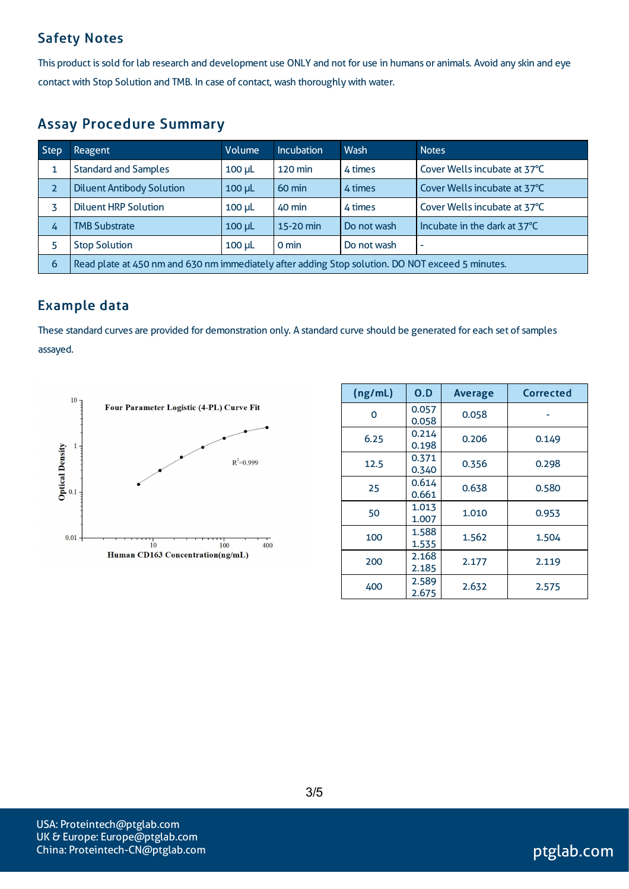### Safety Notes

This product is sold for lab research and development use ONLY and not for use in humans or animals. Avoid any skin and eye contact with Stop Solution and TMB. In case of contact, wash thoroughly with water.

### Assay Procedure Summary

| <b>Step</b> | Reagent                                                                                          | Volume        | <b>Incubation</b> | Wash        | <b>Notes</b>                 |  |
|-------------|--------------------------------------------------------------------------------------------------|---------------|-------------------|-------------|------------------------------|--|
|             | <b>Standard and Samples</b>                                                                      | $100$ $\mu$   | 120 min           | 4 times     | Cover Wells incubate at 37°C |  |
| 2           | <b>Diluent Antibody Solution</b>                                                                 | $100$ $\mu$   | $60 \text{ min}$  | 4 times     | Cover Wells incubate at 37°C |  |
|             | <b>Diluent HRP Solution</b>                                                                      | $100$ $\mu$ L | 40 min            | 4 times     | Cover Wells incubate at 37°C |  |
| 4           | <b>TMB Substrate</b>                                                                             | $100$ $\mu$   | 15-20 min         | Do not wash | Incubate in the dark at 37°C |  |
|             | <b>Stop Solution</b>                                                                             | $100$ $\mu$   | 0 min             | Do not wash | $\overline{\phantom{a}}$     |  |
| 6           | Read plate at 450 nm and 630 nm immediately after adding Stop solution. DO NOT exceed 5 minutes. |               |                   |             |                              |  |

### Example data

These standard curves are provided for demonstration only. A standard curve should be generated for each set of samples assayed.



| (ng/mL) | 0.D            | <b>Average</b> | Corrected |
|---------|----------------|----------------|-----------|
| O       | 0.057<br>0.058 | 0.058          |           |
| 6.25    | 0.214<br>0.198 | 0.206          | 0.149     |
| 12.5    | 0.371<br>0.340 | 0.356          | 0.298     |
| 25      | 0.614<br>0.661 | 0.638          | 0.580     |
| 50      | 1.013<br>1.007 | 1.010          | 0.953     |
| 100     | 1.588<br>1.535 | 1.562          | 1.504     |
| 200     | 2.168<br>2.185 | 2.177          | 2.119     |
| 400     | 2.589<br>2.675 | 2.632          | 2.575     |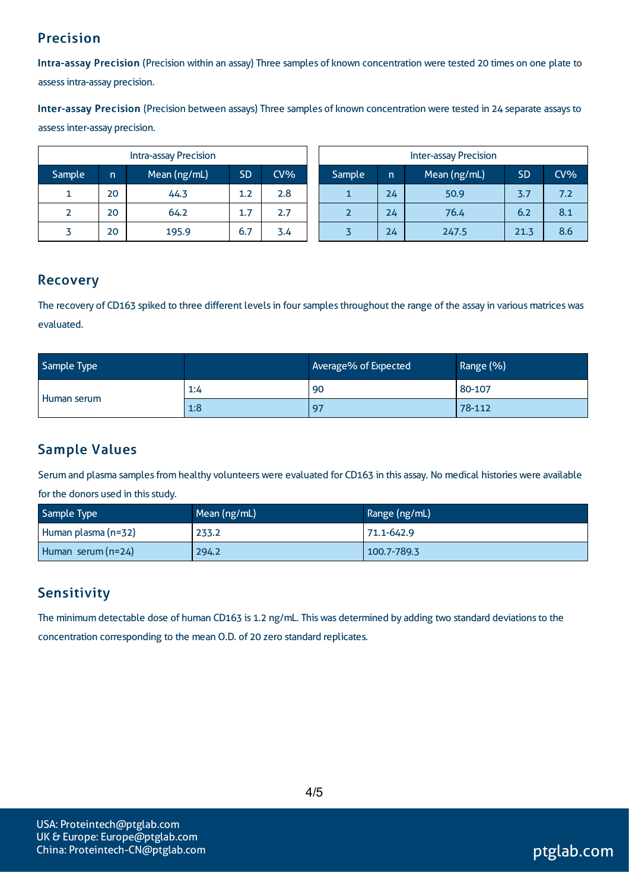### Precision

Intra-assay Precision (Precision within an assay) Three samples of known concentration were tested 20 times on one plate to assessintra-assay precision.

Inter-assay Precision (Precision between assays) Three samples of known concentration were tested in 24 separate assaysto assessinter-assay precision.

| <b>Intra-assay Precision</b> |    |              |           | <b>Inter-assay Precision</b> |  |        |    |              |           |     |
|------------------------------|----|--------------|-----------|------------------------------|--|--------|----|--------------|-----------|-----|
| Sample                       | n  | Mean (ng/mL) | <b>SD</b> | $CV\%$                       |  | Sample | n  | Mean (ng/mL) | <b>SD</b> | CV% |
|                              | 20 | 44.3         | 1.2       | 2.8                          |  |        | 24 | 50.9         | 3.7       | 7.2 |
| ∠                            | 20 | 64.2         | 1.7       | 2.7                          |  |        | 24 | 76.4         | 6.2       | 8.1 |
|                              | 20 | 195.9        | 6.7       | 3.4                          |  |        | 24 | 247.5        | 21.3      | 8.6 |

### Recovery

The recovery of CD163 spiked to three different levels in four samples throughout the range of the assay in various matrices was evaluated.

| Sample Type |     | Average% of Expected | Range (%) |
|-------------|-----|----------------------|-----------|
| Human serum | 1:4 | -90                  | 80-107    |
|             | 1:8 | 97                   | 78-112    |

## Sample Values

Serum and plasma samples from healthy volunteers were evaluated for CD163 in this assay. No medical histories were available

for the donors used in this study.

| Sample Type         | Mean (ng/mL) | Range (ng/mL) |
|---------------------|--------------|---------------|
| Human plasma (n=32) | 233.2        | 71.1-642.9    |
| Human serum (n=24)  | 294.2        | 100.7-789.3   |

### **Sensitivity**

The minimum detectable dose of human CD163 is 1.2 ng/mL. This was determined by adding two standard deviations to the concentration corresponding to the mean O.D. of 20 zero standard replicates.